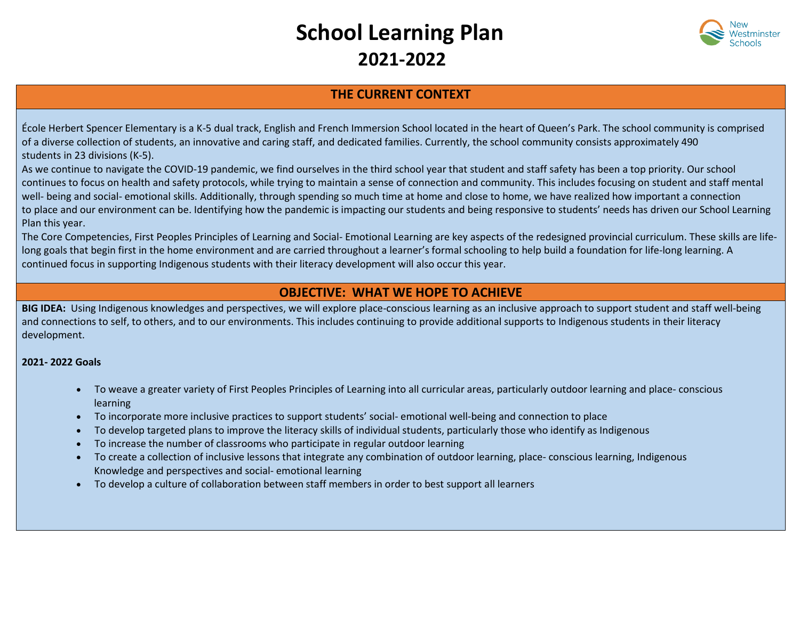# **School Learning Plan 2021-2022**



## **THE CURRENT CONTEXT**

École Herbert Spencer Elementary is a K-5 dual track, English and French Immersion School located in the heart of Queen's Park. The school community is comprised of a diverse collection of students, an innovative and caring staff, and dedicated families. Currently, the school community consists approximately 490 students in 23 divisions (K-5).

As we continue to navigate the COVID-19 pandemic, we find ourselves in the third school year that student and staff safety has been a top priority. Our school continues to focus on health and safety protocols, while trying to maintain a sense of connection and community. This includes focusing on student and staff mental well- being and social- emotional skills. Additionally, through spending so much time at home and close to home, we have realized how important a connection to place and our environment can be. Identifying how the pandemic is impacting our students and being responsive to students' needs has driven our School Learning Plan this year.

The Core Competencies, First Peoples Principles of Learning and Social- Emotional Learning are key aspects of the redesigned provincial curriculum. These skills are lifelong goals that begin first in the home environment and are carried throughout a learner's formal schooling to help build a foundation for life-long learning. A continued focus in supporting Indigenous students with their literacy development will also occur this year.

### **OBJECTIVE: WHAT WE HOPE TO ACHIEVE**

**BIG IDEA:** Using Indigenous knowledges and perspectives, we will explore place-conscious learning as an inclusive approach to support student and staff well-being and connections to self, to others, and to our environments. This includes continuing to provide additional supports to Indigenous students in their literacy development.

#### **2021- 2022 Goals**

- To weave a greater variety of First Peoples Principles of Learning into all curricular areas, particularly outdoor learning and place- conscious learning
- To incorporate more inclusive practices to support students' social- emotional well-being and connection to place
- To develop targeted plans to improve the literacy skills of individual students, particularly those who identify as Indigenous
- To increase the number of classrooms who participate in regular outdoor learning
- To create a collection of inclusive lessons that integrate any combination of outdoor learning, place- conscious learning, Indigenous Knowledge and perspectives and social- emotional learning
- To develop a culture of collaboration between staff members in order to best support all learners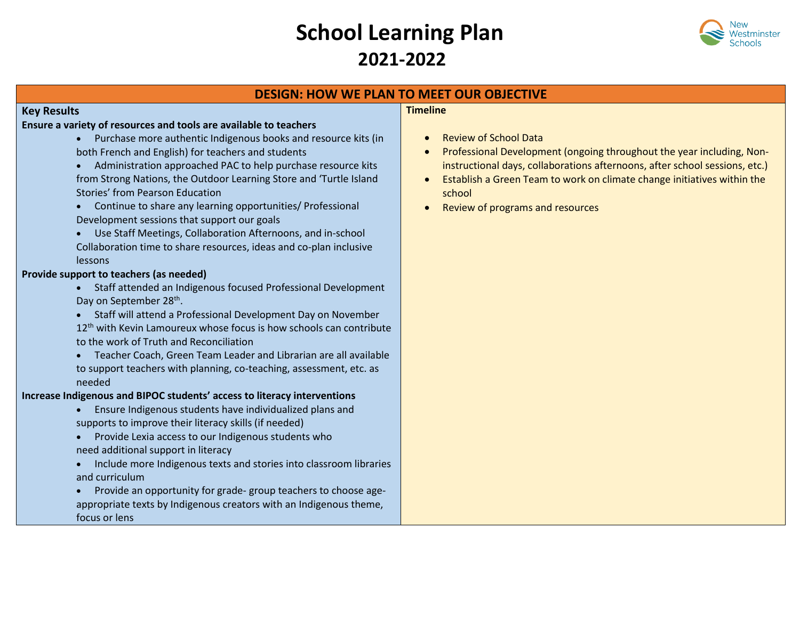# **School Learning Plan 2021-2022**



## **DESIGN: HOW WE PLAN TO MEET OUR OBJECTIVE**

### **Key Results**

#### **Ensure a variety of resources and tools are available to teachers**

- Purchase more authentic Indigenous books and resource kits (in both French and English) for teachers and students
- Administration approached PAC to help purchase resource kits from Strong Nations, the Outdoor Learning Store and 'Turtle Island Stories' from Pearson Education
- Continue to share any learning opportunities/ Professional Development sessions that support our goals
- Use Staff Meetings, Collaboration Afternoons, and in-school Collaboration time to share resources, ideas and co-plan inclusive lessons

#### **Provide support to teachers (as needed)**

- Staff attended an Indigenous focused Professional Development Day on September 28<sup>th</sup>.
- Staff will attend a Professional Development Day on November 12<sup>th</sup> with Kevin Lamoureux whose focus is how schools can contribute to the work of Truth and Reconciliation
- Teacher Coach, Green Team Leader and Librarian are all available to support teachers with planning, co-teaching, assessment, etc. as needed

#### **Increase Indigenous and BIPOC students' access to literacy interventions**

- Ensure Indigenous students have individualized plans and supports to improve their literacy skills (if needed)
- Provide Lexia access to our Indigenous students who need additional support in literacy
- Include more Indigenous texts and stories into classroom libraries and curriculum
- Provide an opportunity for grade- group teachers to choose ageappropriate texts by Indigenous creators with an Indigenous theme, focus or lens

#### **Timeline**

- Review of School Data
- Professional Development (ongoing throughout the year including, Noninstructional days, collaborations afternoons, after school sessions, etc.)
- Establish a Green Team to work on climate change initiatives within the school
- Review of programs and resources